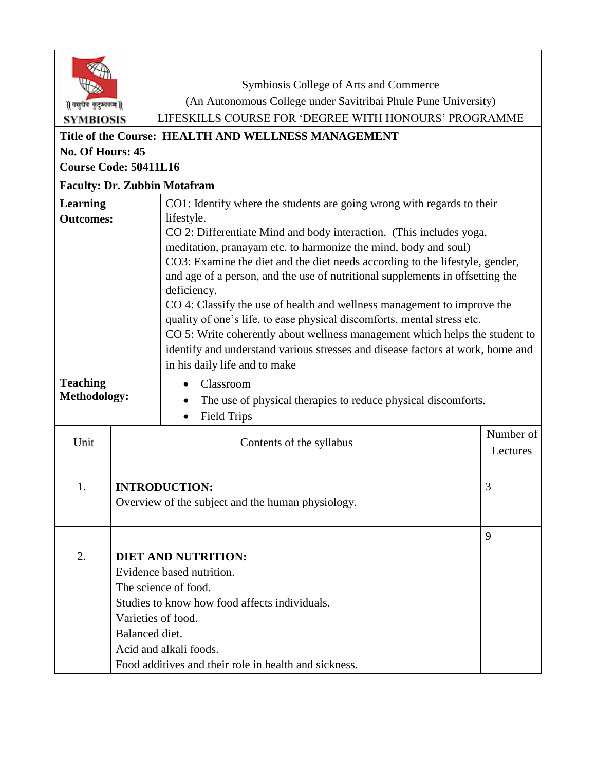| वसुधैव कुटुम्बकम्   <br><b>SYMBIOSIS</b><br>No. Of Hours: 45<br><b>Course Code: 50411L16</b> |                                      | Symbiosis College of Arts and Commerce<br>(An Autonomous College under Savitribai Phule Pune University)<br>LIFESKILLS COURSE FOR 'DEGREE WITH HONOURS' PROGRAMME<br>Title of the Course: HEALTH AND WELLNESS MANAGEMENT                                                                                                                                                                                                                                                                                                                                                                                                                                                                     |                       |  |
|----------------------------------------------------------------------------------------------|--------------------------------------|----------------------------------------------------------------------------------------------------------------------------------------------------------------------------------------------------------------------------------------------------------------------------------------------------------------------------------------------------------------------------------------------------------------------------------------------------------------------------------------------------------------------------------------------------------------------------------------------------------------------------------------------------------------------------------------------|-----------------------|--|
| <b>Faculty: Dr. Zubbin Motafram</b>                                                          |                                      |                                                                                                                                                                                                                                                                                                                                                                                                                                                                                                                                                                                                                                                                                              |                       |  |
| <b>Learning</b>                                                                              |                                      | CO1: Identify where the students are going wrong with regards to their                                                                                                                                                                                                                                                                                                                                                                                                                                                                                                                                                                                                                       |                       |  |
| <b>Outcomes:</b>                                                                             |                                      | lifestyle.<br>CO 2: Differentiate Mind and body interaction. (This includes yoga,<br>meditation, pranayam etc. to harmonize the mind, body and soul)<br>CO3: Examine the diet and the diet needs according to the lifestyle, gender,<br>and age of a person, and the use of nutritional supplements in offsetting the<br>deficiency.<br>CO 4: Classify the use of health and wellness management to improve the<br>quality of one's life, to ease physical discomforts, mental stress etc.<br>CO 5: Write coherently about wellness management which helps the student to<br>identify and understand various stresses and disease factors at work, home and<br>in his daily life and to make |                       |  |
| <b>Teaching</b><br><b>Methodology:</b>                                                       |                                      | Classroom<br>The use of physical therapies to reduce physical discomforts.<br><b>Field Trips</b><br>$\bullet$                                                                                                                                                                                                                                                                                                                                                                                                                                                                                                                                                                                |                       |  |
| Unit                                                                                         |                                      | Contents of the syllabus                                                                                                                                                                                                                                                                                                                                                                                                                                                                                                                                                                                                                                                                     | Number of<br>Lectures |  |
| 1.                                                                                           |                                      | <b>INTRODUCTION:</b><br>Overview of the subject and the human physiology.                                                                                                                                                                                                                                                                                                                                                                                                                                                                                                                                                                                                                    | 3                     |  |
| 2.                                                                                           | Varieties of food.<br>Balanced diet. | <b>DIET AND NUTRITION:</b><br>Evidence based nutrition.<br>The science of food.<br>Studies to know how food affects individuals.<br>Acid and alkali foods.<br>Food additives and their role in health and sickness.                                                                                                                                                                                                                                                                                                                                                                                                                                                                          | 9                     |  |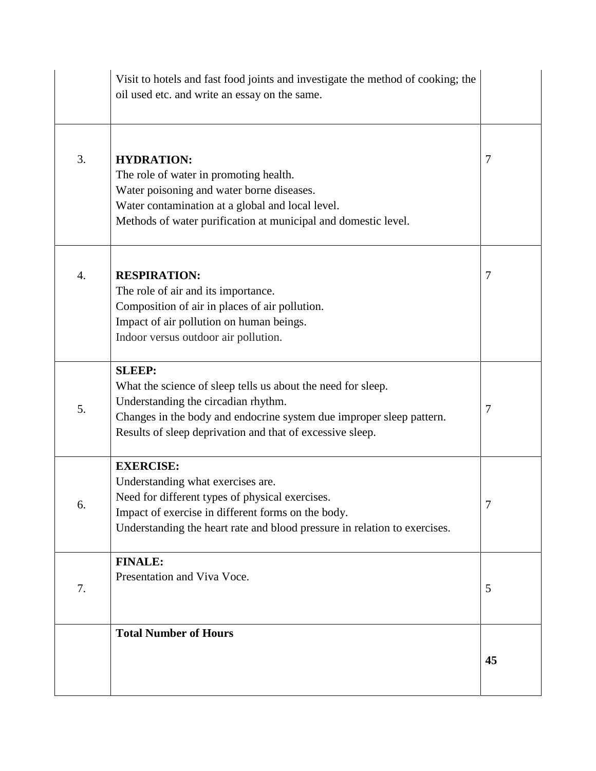|    | Visit to hotels and fast food joints and investigate the method of cooking; the<br>oil used etc. and write an essay on the same.                                                                                                                          |    |
|----|-----------------------------------------------------------------------------------------------------------------------------------------------------------------------------------------------------------------------------------------------------------|----|
| 3. | <b>HYDRATION:</b><br>The role of water in promoting health.<br>Water poisoning and water borne diseases.<br>Water contamination at a global and local level.<br>Methods of water purification at municipal and domestic level.                            | 7  |
| 4. | <b>RESPIRATION:</b><br>The role of air and its importance.<br>Composition of air in places of air pollution.<br>Impact of air pollution on human beings.<br>Indoor versus outdoor air pollution.                                                          | 7  |
| 5. | <b>SLEEP:</b><br>What the science of sleep tells us about the need for sleep.<br>Understanding the circadian rhythm.<br>Changes in the body and endocrine system due improper sleep pattern.<br>Results of sleep deprivation and that of excessive sleep. | 7  |
| 6. | <b>EXERCISE:</b><br>Understanding what exercises are.<br>Need for different types of physical exercises.<br>Impact of exercise in different forms on the body.<br>Understanding the heart rate and blood pressure in relation to exercises.               |    |
| 7. | <b>FINALE:</b><br>Presentation and Viva Voce.                                                                                                                                                                                                             | 5  |
|    | <b>Total Number of Hours</b>                                                                                                                                                                                                                              | 45 |